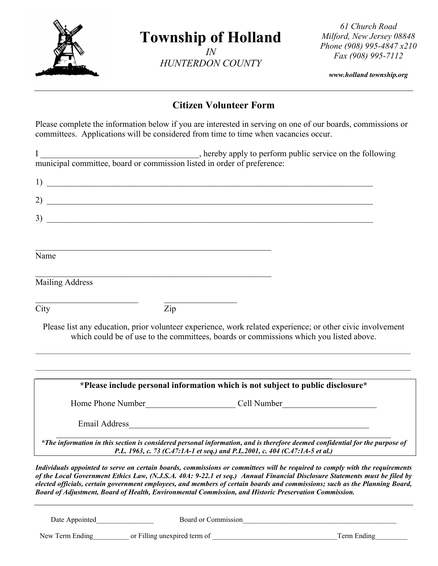

# **Township of Holland**

*IN HUNTERDON COUNTY*

*61 Church Road Milford, New Jersey 08848 Phone (908) 995-4847 x210 Fax (908) 995-7112*

*www.holland township.org*

# **Citizen Volunteer Form**

Please complete the information below if you are interested in serving on one of our boards, commissions or committees. Applications will be considered from time to time when vacancies occur.

| $2)$ $\overline{\phantom{a}}$                                                                         |                                                                              |                                                                                                                                                                                                                                                                                                                                                                                           |
|-------------------------------------------------------------------------------------------------------|------------------------------------------------------------------------------|-------------------------------------------------------------------------------------------------------------------------------------------------------------------------------------------------------------------------------------------------------------------------------------------------------------------------------------------------------------------------------------------|
|                                                                                                       |                                                                              |                                                                                                                                                                                                                                                                                                                                                                                           |
| Name                                                                                                  |                                                                              |                                                                                                                                                                                                                                                                                                                                                                                           |
| <b>Mailing Address</b>                                                                                |                                                                              |                                                                                                                                                                                                                                                                                                                                                                                           |
| City                                                                                                  | Zip                                                                          |                                                                                                                                                                                                                                                                                                                                                                                           |
|                                                                                                       |                                                                              | Please list any education, prior volunteer experience, work related experience; or other civic involvement<br>which could be of use to the committees, boards or commissions which you listed above.                                                                                                                                                                                      |
|                                                                                                       |                                                                              | *Please include personal information which is not subject to public disclosure*                                                                                                                                                                                                                                                                                                           |
|                                                                                                       |                                                                              |                                                                                                                                                                                                                                                                                                                                                                                           |
|                                                                                                       |                                                                              |                                                                                                                                                                                                                                                                                                                                                                                           |
|                                                                                                       | P.L. 1963, c. 73 (C.47:1A-1 et seq.) and P.L.2001, c. 404 (C.47:1A-5 et al.) | *The information in this section is considered personal information, and is therefore deemed confidential for the purpose of                                                                                                                                                                                                                                                              |
| Board of Adjustment, Board of Health, Environmental Commission, and Historic Preservation Commission. |                                                                              | Individuals appointed to serve on certain boards, commissions or committees will be required to comply with the requirements<br>of the Local Government Ethics Law, (N.J.S.A. 40A: 9-22.1 et seq.) Annual Financial Disclosure Statements must be filed by<br>elected officials, certain government employees, and members of certain boards and commissions; such as the Planning Board, |
| Date Appointed                                                                                        | Board or Commission                                                          |                                                                                                                                                                                                                                                                                                                                                                                           |

New Term Ending\_\_\_\_\_\_\_\_\_\_ or Filling unexpired term of \_\_\_\_\_\_\_\_\_\_\_\_\_\_\_\_\_\_\_\_\_\_\_\_\_\_\_\_\_\_\_\_\_\_\_Term Ending\_\_\_\_\_\_\_\_\_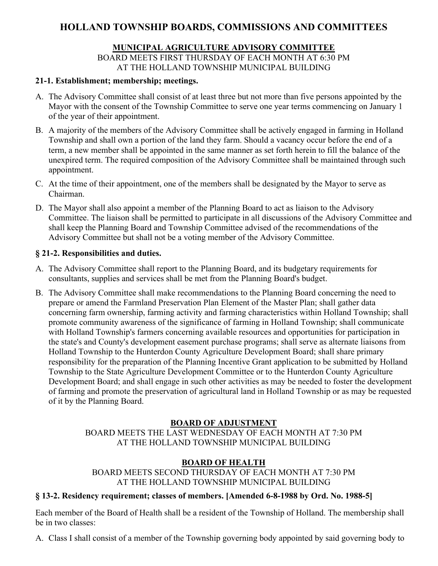# **HOLLAND TOWNSHIP BOARDS, COMMISSIONS AND COMMITTEES**

## **MUNICIPAL AGRICULTURE ADVISORY COMMITTEE** BOARD MEETS FIRST THURSDAY OF EACH MONTH AT 6:30 PM AT THE HOLLAND TOWNSHIP MUNICIPAL BUILDING

## **21-1. Establishment; membership; meetings.**

- A. The Advisory Committee shall consist of at least three but not more than five persons appointed by the Mayor with the consent of the Township Committee to serve one year terms commencing on January 1 of the year of their appointment.
- B. A majority of the members of the Advisory Committee shall be actively engaged in farming in Holland Township and shall own a portion of the land they farm. Should a vacancy occur before the end of a term, a new member shall be appointed in the same manner as set forth herein to fill the balance of the unexpired term. The required composition of the Advisory Committee shall be maintained through such appointment.
- C. At the time of their appointment, one of the members shall be designated by the Mayor to serve as Chairman.
- D. The Mayor shall also appoint a member of the Planning Board to act as liaison to the Advisory Committee. The liaison shall be permitted to participate in all discussions of the Advisory Committee and shall keep the Planning Board and Township Committee advised of the recommendations of the Advisory Committee but shall not be a voting member of the Advisory Committee.

## **§ 21-2. Responsibilities and duties.**

- A. The Advisory Committee shall report to the Planning Board, and its budgetary requirements for consultants, supplies and services shall be met from the Planning Board's budget.
- B. The Advisory Committee shall make recommendations to the Planning Board concerning the need to prepare or amend the Farmland Preservation Plan Element of the Master Plan; shall gather data concerning farm ownership, farming activity and farming characteristics within Holland Township; shall promote community awareness of the significance of farming in Holland Township; shall communicate with Holland Township's farmers concerning available resources and opportunities for participation in the state's and County's development easement purchase programs; shall serve as alternate liaisons from Holland Township to the Hunterdon County Agriculture Development Board; shall share primary responsibility for the preparation of the Planning Incentive Grant application to be submitted by Holland Township to the State Agriculture Development Committee or to the Hunterdon County Agriculture Development Board; and shall engage in such other activities as may be needed to foster the development of farming and promote the preservation of agricultural land in Holland Township or as may be requested of it by the Planning Board.

## **BOARD OF ADJUSTMENT**

BOARD MEETS THE LAST WEDNESDAY OF EACH MONTH AT 7:30 PM AT THE HOLLAND TOWNSHIP MUNICIPAL BUILDING

# **BOARD OF HEALTH**

BOARD MEETS SECOND THURSDAY OF EACH MONTH AT 7:30 PM AT THE HOLLAND TOWNSHIP MUNICIPAL BUILDING

## **§ 13-2. Residency requirement; classes of members. [Amended 6-8-1988 by Ord. No. 1988-5]**

Each member of the Board of Health shall be a resident of the Township of Holland. The membership shall be in two classes:

A. Class I shall consist of a member of the Township governing body appointed by said governing body to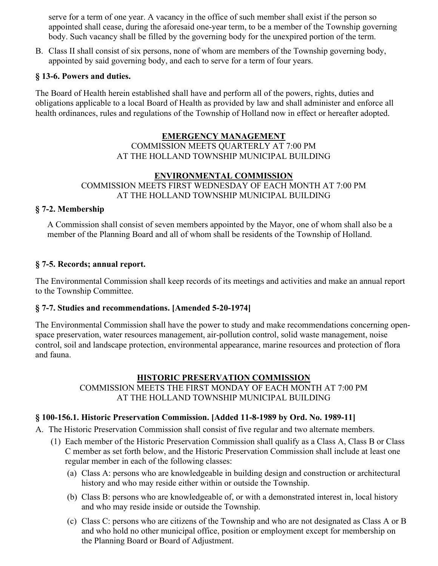serve for a term of one year. A vacancy in the office of such member shall exist if the person so appointed shall cease, during the aforesaid one-year term, to be a member of the Township governing body. Such vacancy shall be filled by the governing body for the unexpired portion of the term.

B. Class II shall consist of six persons, none of whom are members of the Township governing body, appointed by said governing body, and each to serve for a term of four years.

## **§ 13-6. Powers and duties.**

The Board of Health herein established shall have and perform all of the powers, rights, duties and obligations applicable to a local Board of Health as provided by law and shall administer and enforce all health ordinances, rules and regulations of the Township of Holland now in effect or hereafter adopted.

#### **EMERGENCY MANAGEMENT**

COMMISSION MEETS QUARTERLY AT 7:00 PM AT THE HOLLAND TOWNSHIP MUNICIPAL BUILDING

## **ENVIRONMENTAL COMMISSION**

COMMISSION MEETS FIRST WEDNESDAY OF EACH MONTH AT 7:00 PM AT THE HOLLAND TOWNSHIP MUNICIPAL BUILDING

#### **§ 7-2. Membership**

A Commission shall consist of seven members appointed by the Mayor, one of whom shall also be a member of the Planning Board and all of whom shall be residents of the Township of Holland.

## **§ 7-5. Records; annual report.**

The Environmental Commission shall keep records of its meetings and activities and make an annual report to the Township Committee.

#### **§ 7-7. Studies and recommendations. [Amended 5-20-1974]**

The Environmental Commission shall have the power to study and make recommendations concerning openspace preservation, water resources management, air-pollution control, solid waste management, noise control, soil and landscape protection, environmental appearance, marine resources and protection of flora and fauna.

## **HISTORIC PRESERVATION COMMISSION**

COMMISSION MEETS THE FIRST MONDAY OF EACH MONTH AT 7:00 PM AT THE HOLLAND TOWNSHIP MUNICIPAL BUILDING

## **§ 100-156.1. Historic Preservation Commission. [Added 11-8-1989 by Ord. No. 1989-11]**

- A. The Historic Preservation Commission shall consist of five regular and two alternate members.
	- (1) Each member of the Historic Preservation Commission shall qualify as a Class A, Class B or Class C member as set forth below, and the Historic Preservation Commission shall include at least one regular member in each of the following classes:
		- (a) Class A: persons who are knowledgeable in building design and construction or architectural history and who may reside either within or outside the Township.
		- (b) Class B: persons who are knowledgeable of, or with a demonstrated interest in, local history and who may reside inside or outside the Township.
		- (c) Class C: persons who are citizens of the Township and who are not designated as Class A or B and who hold no other municipal office, position or employment except for membership on the Planning Board or Board of Adjustment.